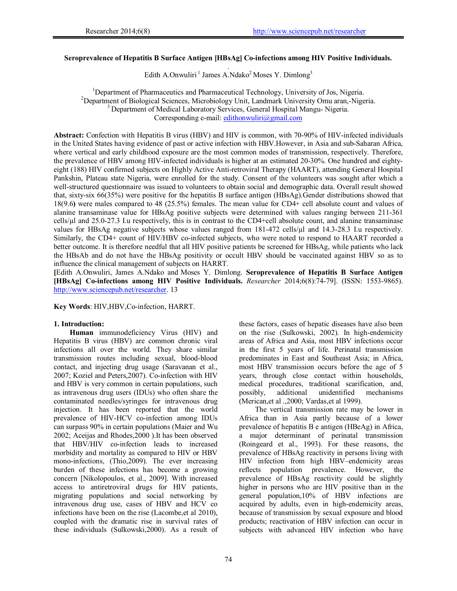# **Seroprevalence of Hepatitis B Surface Antigen [HBsAg] Co-infections among HIV Positive Individuals.**

. Edith A.Onwuliri<sup>1</sup> James A.Ndako<sup>2</sup> Moses Y. Dimlong<sup>3</sup>

<sup>1</sup>Department of Pharmaceutics and Pharmaceutical Technology, University of Jos, Nigeria.<br><sup>2</sup>Department of Biological Sciences, Microbiology, Unit, Landmark University Omy aren. Nige <sup>2</sup>Department of Biological Sciences, Microbiology Unit, Landmark University Omu aran,-Nigeria. <sup>3</sup> Department of Medical Laboratory Services, General Hospital Mangu-Nigeria. Corresponding e-mail: edithonwuliri@gmail.com

**Abstract:** Confection with Hepatitis B virus (HBV) and HIV is common, with 70-90% of HIV-infected individuals in the United States having evidence of past or active infection with HBV.However, in Asia and sub-Saharan Africa, where vertical and early childhood exposure are the most common modes of transmission, respectively. Therefore, the prevalence of HBV among HIV-infected individuals is higher at an estimated 20-30%. One hundred and eightyeight (188) HIV confirmed subjects on Highly Active Anti-retroviral Therapy (HAART), attending General Hospital Pankshin, Plateau state Nigeria, were enrolled for the study. Consent of the volunteers was sought after which a well-structured questionnaire was issued to volunteers to obtain social and demographic data. Overall result showed that, sixty-six 66(35%) were positive for the hepatitis B surface antigen (HBsAg).Gender distributions showed that 18(9.6**)** were males compared to 48 (25.5%) females. The mean value for CD4+ cell absolute count and values of alanine transaminase value for HBsAg positive subjects were determined with values ranging between 211-361 cells/µl and 25.0-27.3 I.u respectively, this is in contrast to the CD4+cell absolute count, and alanine transaminase values for HBsAg negative subjects whose values ranged from 181-472 cells/µl and 14.3-28.3 I.u respectively. Similarly, the CD4+ count of HIV/HBV co-infected subjects, who were noted to respond to HAART recorded a better outcome. It is therefore needful that all HIV positive patients be screened for HBsAg, while patients who lack the HBsAb and do not have the HBsAg positivity or occult HBV should be vaccinated against HBV so as to influence the clinical management of subjects on HARRT.

**[**Edith A.Onwuliri, James A.Ndako and Moses Y. Dimlong. **Seroprevalence of Hepatitis B Surface Antigen [HBsAg] Co-infections among HIV Positive Individuals.** *Researcher* 2014;6(8):74-79]. (ISSN: 1553-9865). http://www.sciencepub.net/researcher. 13

**Key Words**: HIV,HBV,Co-infection, HARRT.

## **1. Introduction:**

**Human** immunodeficiency Virus (HIV) and Hepatitis B virus (HBV) are common chronic viral infections all over the world. They share similar transmission routes including sexual, blood-blood contact, and injecting drug usage (Saravanan et al., 2007; Koziel and Peters,2007). Co-infection with HIV and HBV is very common in certain populations, such as intravenous drug users (IDUs) who often share the contaminated needles/syringes for intravenous drug injection. It has been reported that the world prevalence of HIV-HCV co-infection among IDUs can surpass 90% in certain populations (Maier and Wu 2002; Aceijas and Rhodes,2000 ).It has been observed that HBV/HIV co-infection leads to increased morbidity and mortality as compared to HIV or HBV mono-infections, (Thio,2009). The ever increasing burden of these infections has become a growing concern [Nikolopoulos, et al., 2009]. With increased access to antiretroviral drugs for HIV patients, migrating populations and social networking by intravenous drug use, cases of HBV and HCV co infections have been on the rise (Lacombe,et al 2010), coupled with the dramatic rise in survival rates of these individuals (Sulkowski,2000). As a result of

these factors, cases of hepatic diseases have also been on the rise (Sulkowski, 2002). In high-endemicity areas of Africa and Asia, most HBV infections occur in the first 5 years of life. Perinatal transmission predominates in East and Southeast Asia; in Africa, most HBV transmission occurs before the age of 5 years, through close contact within households, medical procedures, traditional scarification, and, possibly, additional unidentified mechanisms (Merican,et al .,2000; Vardas,et al 1999).

The vertical transmission rate may be lower in Africa than in Asia partly because of a lower prevalence of hepatitis B e antigen (HBeAg) in Africa, a major determinant of perinatal transmission (Roingeard et al., 1993). For these reasons, the prevalence of HBsAg reactivity in persons living with HIV infection from high HBV–endemicity areas reflects population prevalence. However, the prevalence of HBsAg reactivity could be slightly higher in persons who are HIV positive than in the general population,10% of HBV infections are acquired by adults, even in high-endemicity areas, because of transmission by sexual exposure and blood products; reactivation of HBV infection can occur in subjects with advanced HIV infection who have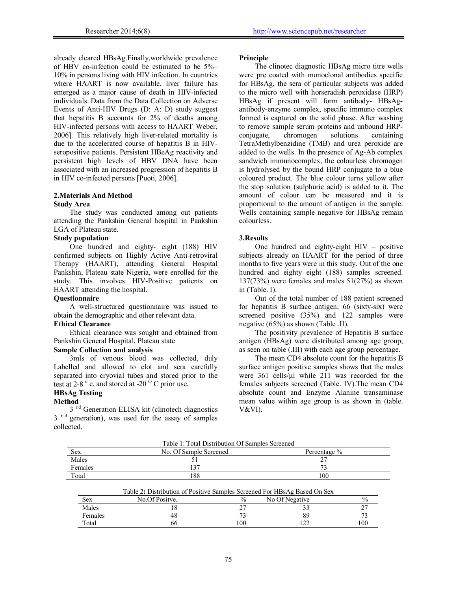already cleared HBsAg.Finally,worldwide prevalence of HBV co-infection could be estimated to be 5%– 10% in persons living with HIV infection. In countries where HAART is now available, liver failure has emerged as a major cause of death in HIV-infected individuals. Data from the Data Collection on Adverse Events of Anti-HIV Drugs (D: A: D) study suggest that hepatitis B accounts for 2% of deaths among HIV-infected persons with access to HAART Weber, 2006]. This relatively high liver-related mortality is due to the accelerated course of hepatitis B in HIVseropositive patients. Persistent HBeAg reactivity and persistent high levels of HBV DNA have been associated with an increased progression of hepatitis B in HIV co-infected persons [Puoti, 2006].

## **2.Materials And Method Study Area**

The study was conducted among out patients attending the Pankshin General hospital in Pankshin LGA of Plateau state.

# **Study population**

One hundred and eighty- eight (188) HIV confirmed subjects on Highly Active Anti-retroviral Therapy (HAART), attending General Hospital Pankshin, Plateau state Nigeria, were enrolled for the study. This involves HIV-Positive patients on HAART attending the hospital.

## **Questionnaire**

A well-structured questionnaire was issued to obtain the demographic and other relevant data.

## **Ethical Clearance**

Ethical clearance was sought and obtained from Pankshin General Hospital, Plateau state

## **Sample Collection and analysis**

3mls of venous blood was collected, duly Labelled and allowed to clot and sera carefully separated into cryovial tubes and stored prior to the test at 2-8 $^{\circ}$  c, and stored at -20 $^{\circ}$  C prior use.

#### **HBsAg Testing**

#### **Method**

3<sup>rd</sup> Generation ELISA kit (clinotech diagnostics 3<sup>rd</sup> generation), was used for the assay of samples collected.

## **Principle**

The clinotec diagnostic HBsAg micro titre wells were pre coated with monoclonal antibodies specific for HBsAg, the sera of particular subjects was added to the micro well with horseradish peroxidase (HRP) HBsAg if present will form antibody- HBsAgantibody-enzyme complex, specific immuno complex formed is captured on the solid phase. After washing to remove sample serum proteins and unbound HRP-<br>conjugate, chromogen solutions containing conjugate, chromogen solutions containing TetraMethylbenzidine (TMB) and urea peroxide are added to the wells. In the presence of Ag-Ab complex sandwich immunocomplex, the colourless chromogen is hydrolysed by the bound HRP conjugate to a blue coloured product. The blue colour turns yellow after the stop solution (sulphuric acid) is added to it. The amount of colour can be measured and it is proportional to the amount of antigen in the sample. Wells containing sample negative for HBsAg remain colourless.

## **3.Results**

One hundred and eighty-eight HIV – positive subjects already on HAART for the period of three months to five years were in this study. Out of the one hundred and eighty eight (188) samples screened. 137(73%) were females and males 51(27%) as shown in (Table. I).

Out of the total number of 188 patient screened for hepatitis B surface antigen, 66 (sixty-six) were screened positive (35%) and 122 samples were negative (65%) as shown (Table .II).

The positivity prevalence of Hepatitis B surface antigen (HBsAg) were distributed among age group, as seen on table (.III) with each age group percentage.

The mean CD4 absolute count for the hepatitis B surface antigen positive samples shows that the males were 361 cells/ul while 211 was recorded for the females subjects screened (Table. IV).The mean CD4 absolute count and Enzyme Alanine transaminase mean value within age group is as shown in (table. V&VI).

|            | Table 1: Total Distribution Of Samples Screened |              |
|------------|-------------------------------------------------|--------------|
| <b>Sex</b> | No. Of Sample Screened                          | Percentage % |
| Males      |                                                 |              |
| Females    |                                                 |              |
| Total      | 188                                             | 100          |

|         | Table 2: Distribution of Positive Samples Screened For HBsAg Based On Sex |               |                |     |
|---------|---------------------------------------------------------------------------|---------------|----------------|-----|
| Sex     | No.Of Positve.                                                            | $\frac{0}{0}$ | No Of Negative |     |
| Males   |                                                                           |               |                |     |
| Females | 48                                                                        |               |                |     |
| Total   | 66                                                                        | 100           |                | 100 |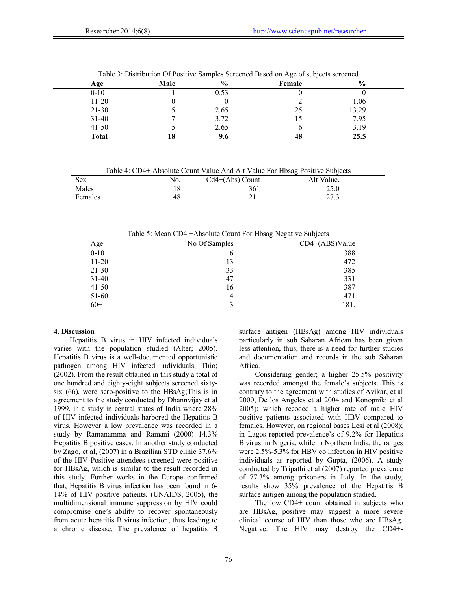| Age          | Male | $\%$ | Female | $\frac{6}{9}$ |
|--------------|------|------|--------|---------------|
| $0 - 10$     |      | 0.53 |        |               |
| $11-20$      |      |      |        | 1.06          |
| $21 - 30$    |      | 2.65 | 25     | 13.29         |
| $31-40$      |      | 3.72 |        | 7.95          |
| $41 - 50$    |      | 2.65 |        | 3.19          |
| <b>Total</b> | 10   | У.О  | ΉΟ     | 25.5          |

Table 3: Distribution Of Positive Samples Screened Based on Age of subjects screened

Table 4: CD4+ Absolute Count Value And Alt Value For Hbsag Positive Subjects

| Sex     | NO. | $Cd4+(Abs)$ Count | Alt Value. |
|---------|-----|-------------------|------------|
| Males   | 8   | 361               | 25.0       |
| Females | 48  |                   | 27.3       |
|         |     |                   |            |

Table 5: Mean CD4 +Absolute Count For Hbsag Negative Subjects

| Age       | No Of Samples | $CD4+(ABS)Value$ |
|-----------|---------------|------------------|
| $0 - 10$  | 0             | 388              |
| $11 - 20$ | 13            | 472              |
| $21 - 30$ | 33            | 385              |
| $31 - 40$ | 47            | 331              |
| $41 - 50$ | 16            | 387              |
| 51-60     | 4             | 471              |
| $60+$     |               | 181.             |

# **4. Discussion**

Hepatitis B virus in HIV infected individuals varies with the population studied (Alter; 2005). Hepatitis B virus is a well-documented opportunistic pathogen among HIV infected individuals, Thio; (2002). From the result obtained in this study a total of one hundred and eighty-eight subjects screened sixtysix (66), were sero-positive to the HBsAg;This is in agreement to the study conducted by Dhannvijay et al 1999, in a study in central states of India where 28% of HIV infected individuals harbored the Hepatitis B virus. However a low prevalence was recorded in a study by Ramanamma and Ramani (2000) 14.3% Hepatitis B positive cases. In another study conducted by Zago, et al, (2007) in a Brazilian STD clinic 37.6% of the HIV Positive attendees screened were positive for HBsAg, which is similar to the result recorded in this study. Further works in the Europe confirmed that, Hepatitis B virus infection has been found in 6- 14% of HIV positive patients, (UNAIDS, 2005), the multidimensional immune suppression by HIV could compromise one's ability to recover spontaneously from acute hepatitis B virus infection, thus leading to a chronic disease. The prevalence of hepatitis B

surface antigen (HBsAg) among HIV individuals particularly in sub Saharan African has been given less attention, thus, there is a need for further studies and documentation and records in the sub Saharan Africa.

Considering gender; a higher 25.5% positivity was recorded amongst the female's subjects. This is contrary to the agreement with studies of Avikar, et al 2000, De los Angeles et al 2004 and Konopniki et al 2005); which recoded a higher rate of male HIV positive patients associated with HBV compared to females. However, on regional bases Lesi et al (2008); in Lagos reported prevalence's of 9.2% for Hepatitis B virus in Nigeria, while in Northern India, the ranges were 2.5%-5.3% for HBV co infection in HIV positive individuals as reported by Gupta, (2006). A study conducted by Tripathi et al (2007) reported prevalence of 77.3% among prisoners in Italy. In the study, results show 35% prevalence of the Hepatitis B surface antigen among the population studied.

The low CD4+ count obtained in subjects who are HBsAg, positive may suggest a more severe clinical course of HIV than those who are HBsAg. Negative. The HIV may destroy the CD4+-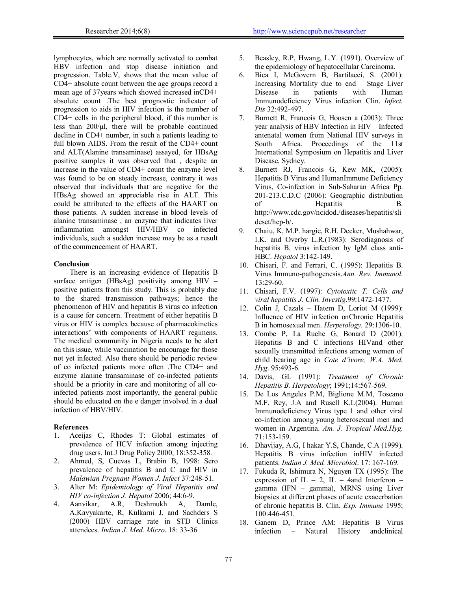lymphocytes, which are normally activated to combat HBV infection and stop disease initiation and progression. Table.V, shows that the mean value of CD4+ absolute count between the age groups record a mean age of 37years which showed increased inCD4+ absolute count .The best prognostic indicator of progression to aids in HIV infection is the number of CD4+ cells in the peripheral blood, if this number is less than  $200/\mu$ , there will be probable continued decline in CD4+ number, in such a patients leading to full blown AIDS. From the result of the CD4+ count and ALT(Alanine transaminase) assayed, for HBsAg positive samples it was observed that , despite an increase in the value of CD4+ count the enzyme level was found to be on steady increase, contrary it was observed that individuals that are negative for the HBsAg showed an appreciable rise in ALT. This could be attributed to the effects of the HAART on those patients. A sudden increase in blood levels of alanine transaminase , an enzyme that indicates liver inflammation amongst HIV/HBV co infected individuals, such a sudden increase may be as a result of the commencement of HAART.

#### **Conclusion**

There is an increasing evidence of Hepatitis B surface antigen (HBsAg) positivity among HIV – positive patients from this study. This is probably due to the shared transmission pathways; hence the phenomenon of HIV and hepatitis B virus co infection is a cause for concern. Treatment of either hepatitis B virus or HIV is complex because of pharmacokinetics interactions' with components of HAART regimens. The medical community in Nigeria needs to be alert on this issue, while vaccination be encourage for those not yet infected. Also there should be periodic review of co infected patients more often .The CD4+ and enzyme alanine transaminase of co-infected patients should be a priority in care and monitoring of all coinfected patients most importantly, the general public should be educated on the e danger involved in a dual infection of HBV/HIV.

#### **References**

- 1. Aceijas C, Rhodes T: Global estimates of prevalence of HCV infection among injecting drug users. Int J Drug Policy 2000, 18:352-358.
- 2. Ahmed, S, Cuevas L, Brabin B, 1998: Sero prevalence of hepatitis B and C and HIV in *Malawian Pregnant Women J. Infect* 37:248-51.
- 3. Alter M: *Epidemiology of Viral Hepatitis and HIV co-infection J. Hepatol* 2006; 44:6-9.
- 4. Aanvikar, A.R, Deshmukh A, Damle, A,Kavyakarte, R, Kulkarni J, and Sachders S (2000) HBV carriage rate in STD Clinics attendees. *Indian J. Med. Micro*. 18: 33-36
- 5. Beasley, R.P, Hwang, L.Y. (1991). Overview of the epidemiology of hepatocellular Carcinoma.
- 6. Bica I, McGovern B, Bartilacci, S. (2001): Increasing Mortality due to end – Stage Liver Disease in patients with Human Immunodeficiency Virus infection Clin. *Infect. Dis* 32:492-497.
- 7. Burnett R, Francois G, Hoosen a (2003): Three year analysis of HBV Infection in HIV – Infected antenatal women from National HIV surveys in South Africa. Proceedings of the 11st International Symposium on Hepatitis and Liver Disease, Sydney.
- 8. Burnett RJ, Francois G, Kew MK, (2005): Hepatitis B Virus and HumanImmune Deficiency Virus, Co-infection in Sub-Saharan Africa Pp. 201-213.C.D.C (2006): Geographic distribution of Hepatitis B. http://www.cdc.gov/ncidod./diseases/hepatitis/sli deset/hep-b/.
- 9. Chaiu, K, M.P. hargie, R.H. Decker, Mushahwar, I.K. and Overby L.R,(1983): Serodiagnosis of hepatitis B. virus infection by IgM class anti-HBC. *Hepatol* 3:142-149.
- 10. Chisari, F. and Ferrari, C. (1995): Hepatitis B. Virus Immuno-pathogenesis.*Ann. Rev. Immunol*. 13:29-60.
- 11. Chisari, F.V. (1997): *Cytotoxiic T. Cells and viral hepatitis J. Clin. Investig*.99:1472-1477.
- 12. Colin J, Cazals Hatem D, Loriot M (1999): Influence of HIV infection onChronic Hepatitis B in homosexual men. *Herpetology,* 29:1306-10.
- 13. Combe P, La Ruche G, Bonard D (2001): Hepatitis B and C infections HIVand other sexually transmitted infections among women of child bearing age in *Cote d'ivore, W.A. Med. Hyg*. 95:493-6.
- 14. Davis, GL (1991): *Treatment of Chronic Hepatitis B. Herpetology*; 1991;14:567-569.
- 15. De Los Angeles P.M, Biglione M.M, Toscano M.F. Rey, J.A and Rusell K.L(2004). Human Immunodeficiency Virus type 1 and other viral co-infection among young heterosexual men and women in Argentina. *Am. J. Tropical Med.Hyg.* 71:153-159.
- 16. Dhavijay, A.G, I hakar Y.S, Chande, C.A (1999). Hepatitis B virus infection inHIV infected patients. *Indian J. Med. Microbiol*. 17: 167-169.
- 17. Fukuda R, Ishimura N, Nguyen TX (1995): The expression of IL – 2, IL – 4and Interferon – gamma (IFN – gamma), MRNS using Liver biopsies at different phases of acute exacerbation of chronic hepatitis B. Clin. *Exp. Immune* 1995; 100:446-451.
- 18. Ganem D, Prince AM: Hepatitis B Virus infection – Natural History andclinical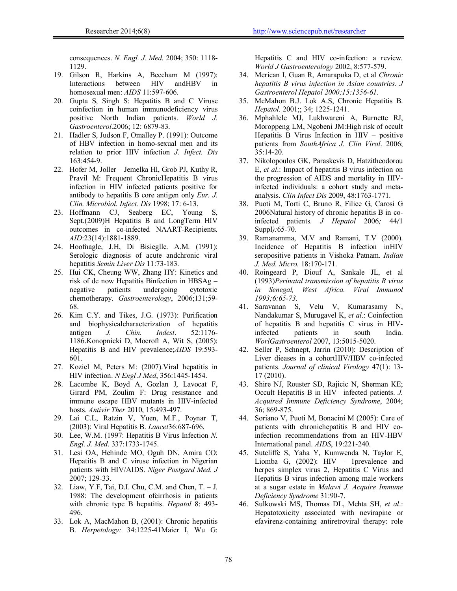consequences. *N. Engl. J. Med.* 2004; 350: 1118- 1129.

- 19. Gilson R, Harkins A, Beecham M (1997):<br>Interactions between HIV andHBV in Interactions between HIV homosexual men: *AIDS* 11:597-606.
- 20. Gupta S, Singh S: Hepatitis B and C Viruse coinfection in human immunodeficiency virus positive North Indian patients. *World J. Gastroenterol*.2006; 12: 6879-83.
- 21. Hadler S, Judson F, Omalley P. (1991): Outcome of HBV infection in homo-sexual men and its relation to prior HIV infection *J. Infect. Dis*  163:454-9.
- 22. Hofer M, Joller Jemelka Hl, Grob PJ, Kuthy R, Pravil M: Frequent ChronicHepatitis B virus infection in HIV infected patients positive for antibody to hepatitis B core antigen only *Eur. J. Clin. Microbiol. Infect. Dis* 1998; 17: 6-13.
- 23. Hoffmann CJ, Seaberg EC, Young S, Sept.(2009)H Hepatitis B and LongTerm HIV outcomes in co-infected NAART-Recipients. *AID*:23(14):1881-1889.
- 24. Hoofnagle, J.H, Di Bisieglle. A.M. (1991): Serologic diagnosis of acute andchronic viral hepatitis *Semin Liver Dis* 11:73-183.
- 25. Hui CK, Cheung WW, Zhang HY: Kinetics and risk of de now Hepatitis Binfection in HBSAg – negative patients undergoing cytotoxic chemotherapy. *Gastroenterology*, 2006;131;59- 68.
- 26. Kim C.Y. and Tikes, J.G. (1973): Purification and biophysicalcharacterization of hepatitis<br>antigen  $J$ . Chin. Indest.  $52:1176$ antigen *J. Chin. Indest*. 52:1176- 1186.Konopnicki D, Mocroft A, Wit S, (2005): Hepatitis B and HIV prevalence;*AIDS* 19:593- 601.
- 27. Koziel M, Peters M: (2007).Viral hepatitis in HIV infection. *N Engl J Med*, 356:1445-1454.
- 28. Lacombe K, Boyd A, Gozlan J, Lavocat F, Girard PM, Zoulim F: Drug resistance and immune escape HBV mutants in HIV-infected hosts. *Antivir Ther* 2010, 15:493-497.
- 29. Lai C.L, Ratzin V, Yuen, M.F., Poynar T, (2003): Viral Hepatitis B. *Lancet*36:687-696.
- 30. Lee, W.M. (1997: Hepatitis B Virus Infection *N. Engl. J. Med*. 337:1733-1745.
- 31. Lesi OA, Hehinde MO, Oguh DN, Amira CO: Hepatitis B and C viruse infection in Nigerian patients with HIV/AIDS. *Niger Postgard Med. J*  2007; 129-33.
- 32. Liaw, Y.F, Tai, D.I. Chu, C.M. and Chen, T. J. 1988: The development ofcirrhosis in patients with chronic type B hepatitis. *Hepatol* 8: 493- 496.
- 33. Lok A, MacMahon B, (2001): Chronic hepatitis B. *Herpetology:* 34:1225-41Maier I, Wu G:

Hepatitis C and HIV co-infection: a review. *World J Gastroenterology* 2002, 8:577-579.

- 34. Merican I, Guan R, Amarapuka D, et al *Chronic hepatitis B virus infection in Asian countries. J Gastroenterol Hepatol 2000;15:1356-61.*
- 35. McMahon B.J. Lok A.S, Chronic Hepatitis B. *Hepatol.* 2001;; 34; 1225-1241.
- 36. Mphahlele MJ, Lukhwareni A, Burnette RJ, Moroppeng LM, Ngobeni JM:High risk of occult Hepatitis B Virus Infection in HIV – positive patients from *SouthAfrica J. Clin Virol*. 2006; 35:14-20.
- 37. Nikolopoulos GK, Paraskevis D, Hatzitheodorou E, *et al*.: Impact of hepatitis B virus infection on the progression of AIDS and mortality in HIVinfected individuals: a cohort study and metaanalysis. *Clin Infect Dis* 2009, 48:1763-1771.
- 38. Puoti M, Torti C, Bruno R, Filice G, Carosi G 2006Natural history of chronic hepatitis B in coinfected patients*. J Hepatol* 2006*;* 44*(*1 Suppl*):*65*-*70*.*
- 39. Ramanamma, M.V and Ramani, T.V (2000). Incidence of Hepatitis B infection inHIV seropositive patients in Vishoka Patnam. *Indian J. Med. Micro.* 18:170-171.
- 40. Roingeard P, Diouf A, Sankale JL, et al (1993)*Perinatal transmission of hepatitis B virus in Senegal, West Africa. Viral Immunol 1993;6:65-73.*
- 41. Saravanan S, Velu V, Kumarasamy N, Nandakumar S, Murugavel K, *et al*.: Coinfection of hepatitis B and hepatitis C virus in HIVinfected patients in south India. *WorlGastroenterol* 2007, 13:5015-5020.
- 42. Seller P, Schnept, Jarrin (2010): Description of Liver dieases in a cohortHIV/HBV co-infected patients. *Journal of clinical Virology* 47(1): 13- 17 (2010).
- 43. Shire NJ, Rouster SD, Rajicic N, Sherman KE; Occult Hepatitis B in HIV –infected patients. *J. Acquired Immune Deficiency Syndrome*, 2004; 36; 869-875.
- 44. Soriano V, Puoti M, Bonacini M (2005): Care of patients with chronichepatitis B and HIV coinfection recommendations from an HIV-HBV International panel. *AIDS*, 19:221-240.
- 45. Sutcliffe S, Yaha Y, Kumwenda N, Taylor E, Liomba G, (2002): HIV – 1prevalence and herpes simplex virus 2, Hepatitis C Virus and Hepatitis B virus infection among male workers at a sugar estate in *Malawi J. Acquire Immune Deficiency Syndrome* 31:90-7.
- 46. Sulkowski MS, Thomas DL, Mehta SH, *et al*.: Hepatotoxicity associated with nevirapine or efavirenz-containing antiretroviral therapy: role